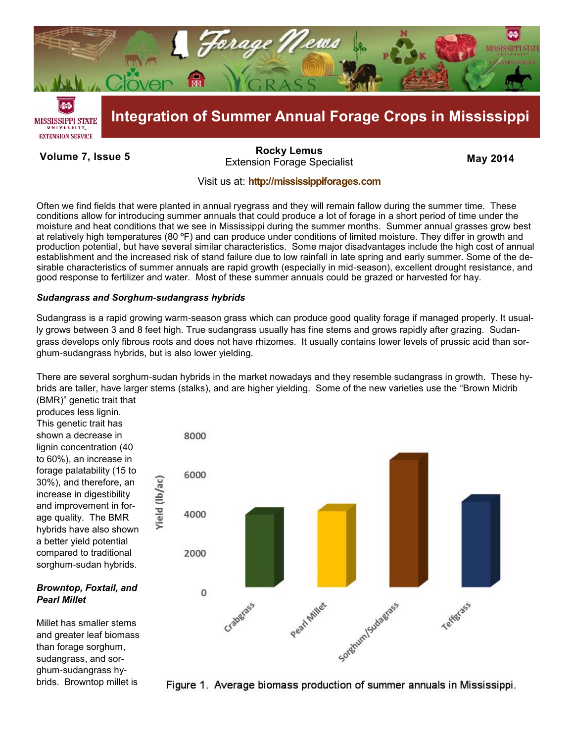

**Volume 7, Issue 5 May 2014** Extension Forage Specialist **[Rocky Lemus](mailto:RLemus@ext.msstate.edu?subject=Forage%20News:%20Janaury%202011)**

## Visit us at: **<http://mississippiforages.com>**

Often we find fields that were planted in annual ryegrass and they will remain fallow during the summer time. These conditions allow for introducing summer annuals that could produce a lot of forage in a short period of time under the moisture and heat conditions that we see in Mississippi during the summer months. Summer annual grasses grow best at relatively high temperatures (80 ºF) and can produce under conditions of limited moisture. They differ in growth and production potential, but have several similar characteristics. Some major disadvantages include the high cost of annual establishment and the increased risk of stand failure due to low rainfall in late spring and early summer. Some of the desirable characteristics of summer annuals are rapid growth (especially in mid-season), excellent drought resistance, and good response to fertilizer and water. Most of these summer annuals could be grazed or harvested for hay.

### *Sudangrass and Sorghum-sudangrass hybrids*

Sudangrass is a rapid growing warm-season grass which can produce good quality forage if managed properly. It usually grows between 3 and 8 feet high. True sudangrass usually has fine stems and grows rapidly after grazing. Sudangrass develops only fibrous roots and does not have rhizomes. It usually contains lower levels of prussic acid than sorghum-sudangrass hybrids, but is also lower yielding.

There are several sorghum-sudan hybrids in the market nowadays and they resemble sudangrass in growth. These hybrids are taller, have larger stems (stalks), and are higher yielding. Some of the new varieties use the "Brown Midrib (BMR)" genetic trait that

produces less lignin. This genetic trait has shown a decrease in lignin concentration (40 to 60%), an increase in forage palatability (15 to 30%), and therefore, an increase in digestibility and improvement in forage quality. The BMR hybrids have also shown a better yield potential compared to traditional sorghum-sudan hybrids.

## *Browntop, Foxtail, and Pearl Millet*

Millet has smaller stems and greater leaf biomass than forage sorghum, sudangrass, and sorghum-sudangrass hybrids. Browntop millet is



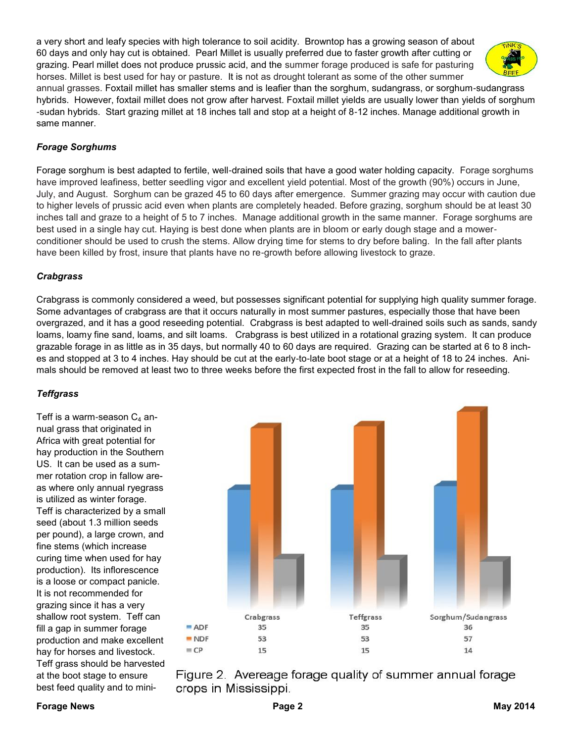a very short and leafy species with high tolerance to soil acidity. Browntop has a growing season of about 60 days and only hay cut is obtained. Pearl Millet is usually preferred due to faster growth after cutting or grazing. Pearl millet does not produce prussic acid, and the summer forage produced is safe for pasturing horses. Millet is best used for hay or pasture. It is not as drought tolerant as some of the other summer



annual grasses. Foxtail millet has smaller stems and is leafier than the sorghum, sudangrass, or sorghum-sudangrass hybrids. However, foxtail millet does not grow after harvest. Foxtail millet yields are usually lower than yields of sorghum -sudan hybrids. Start grazing millet at 18 inches tall and stop at a height of 8-12 inches. Manage additional growth in same manner.

# *Forage Sorghums*

Forage sorghum is best adapted to fertile, well-drained soils that have a good water holding capacity. Forage sorghums have improved leafiness, better seedling vigor and excellent yield potential. Most of the growth (90%) occurs in June, July, and August. Sorghum can be grazed 45 to 60 days after emergence. Summer grazing may occur with caution due to higher levels of prussic acid even when plants are completely headed. Before grazing, sorghum should be at least 30 inches tall and graze to a height of 5 to 7 inches. Manage additional growth in the same manner. Forage sorghums are best used in a single hay cut. Haying is best done when plants are in bloom or early dough stage and a mowerconditioner should be used to crush the stems. Allow drying time for stems to dry before baling. In the fall after plants have been killed by frost, insure that plants have no re-growth before allowing livestock to graze.

# *Crabgrass*

Crabgrass is commonly considered a weed, but possesses significant potential for supplying high quality summer forage. Some advantages of crabgrass are that it occurs naturally in most summer pastures, especially those that have been overgrazed, and it has a good reseeding potential.Crabgrass is best adapted to well-drained soils such as sands, sandy loams, loamy fine sand, loams, and silt loams. Crabgrass is best utilized in a rotational grazing system. It can produce grazable forage in as little as in 35 days, but normally 40 to 60 days are required. Grazing can be started at 6 to 8 inches and stopped at 3 to 4 inches. Hay should be cut at the early-to-late boot stage or at a height of 18 to 24 inches. Animals should be removed at least two to three weeks before the first expected frost in the fall to allow for reseeding.

## *Teffgrass*

Teff is a warm-season  $C_4$  annual grass that originated in Africa with great potential for hay production in the Southern US. It can be used as a summer rotation crop in fallow areas where only annual ryegrass is utilized as winter forage. Teff is characterized by a small seed (about 1.3 million seeds per pound), a large crown, and fine stems (which increase curing time when used for hay production). Its inflorescence is a loose or compact panicle. It is not recommended for grazing since it has a very shallow root system. Teff can fill a gap in summer forage production and make excellent hay for horses and livestock. Teff grass should be harvested at the boot stage to ensure best feed quality and to mini-



Figure 2. Avereage forage quality of summer annual forage crops in Mississippi.